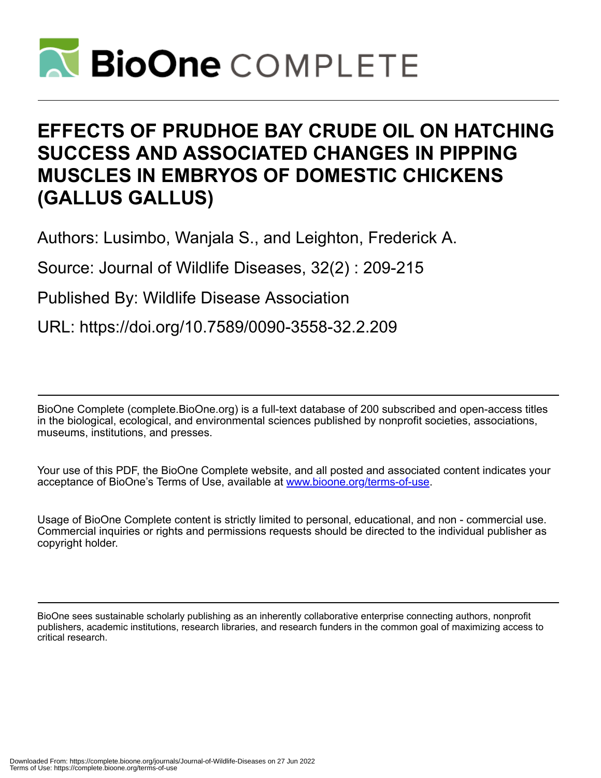

# **EFFECTS OF PRUDHOE BAY CRUDE OIL ON HATCHING SUCCESS AND ASSOCIATED CHANGES IN PIPPING MUSCLES IN EMBRYOS OF DOMESTIC CHICKENS (GALLUS GALLUS)**

Authors: Lusimbo, Wanjala S., and Leighton, Frederick A.

Source: Journal of Wildlife Diseases, 32(2) : 209-215

Published By: Wildlife Disease Association

URL: https://doi.org/10.7589/0090-3558-32.2.209

BioOne Complete (complete.BioOne.org) is a full-text database of 200 subscribed and open-access titles in the biological, ecological, and environmental sciences published by nonprofit societies, associations, museums, institutions, and presses.

Your use of this PDF, the BioOne Complete website, and all posted and associated content indicates your acceptance of BioOne's Terms of Use, available at www.bioone.org/terms-of-use.

Usage of BioOne Complete content is strictly limited to personal, educational, and non - commercial use. Commercial inquiries or rights and permissions requests should be directed to the individual publisher as copyright holder.

BioOne sees sustainable scholarly publishing as an inherently collaborative enterprise connecting authors, nonprofit publishers, academic institutions, research libraries, and research funders in the common goal of maximizing access to critical research.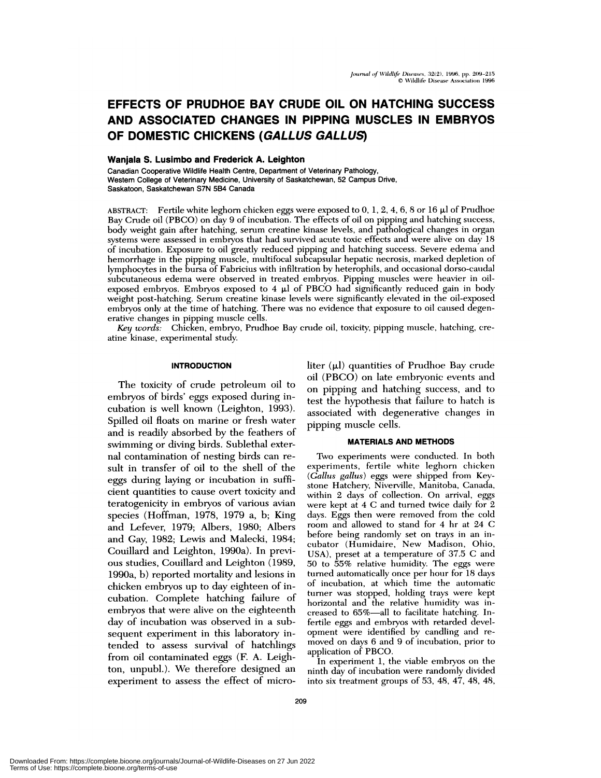# **EFFECTS OF PRUDHOE BAY CRUDE OIL ON HATCHING SUCCESS AND ASSOCIATED CHANGES IN PIPPING MUSCLES IN EMBRYOS OF DOMESTIC CHICKENS (GALLUS GALLUS)**

#### **Wanjala S. Lusimbo and Frederick A. Leighton**

Canadian Cooperative Wildlife Health Centre, Department of Veterinary Pathology, Western College of Veterinary Medicine, University of Saskatchewan, 52 Campus Drive, Saskatoon, Saskatchewan S7N 5B4 Canada

ABSTRACT: Fertile white leghorn chicken eggs were exposed to 0, 1, 2, 4, 6, 8 or 16  $\mu$ l of Prudhoe Bay Crude oil (PBCO) on day 9 of incubation. The effects of oil on pipping and hatching success, body weight gain after hatching, serum creatine kinase levels, and pathological changes in organ systems were assessed in embryos that had survived acute toxic effects and were alive on day 18 of incubation. Exposure to oil greatly reduced pipping and hatching success. Severe edema and hemorrhage in the pipping muscle, multifocal subcapsular hepatic necrosis, marked depletion of lymphocytes in the bursa of Fabricius with infiltration by heterophils, and occasional dorso-caudal subcutaneous edema were observed in treated embryos. Pipping muscles were heavier in oilexposed embryos. Embryos exposed to 4  $\mu$ l of PBCO had significantly reduced gain in body weight post-hatching. Serum creatine kinase levels were significantly elevated in the oil-exposed embryos only at the time of hatching. There was no evidence that exposure to oil caused degenerative changes in pipping muscle cells.

*Key words:* Chicken, embryo, Prudhoe Bay crude oil, toxicity, pipping muscle, hatching, crc atine kinase, experimental study.

### **INTRODUCTION**

The toxicity of crude petroleum oil to embryos of birds' eggs exposed during incubation is well known (Leighton, 1993). Spilled oil floats on marine or fresh water and is readily absorbed by the feathers of swimming or diving birds. Sublethal exter nal contamination of nesting birds can re sult in transfer of oil to the shell of the eggs during laying or incubation in sufficient quantities to cause overt toxicity and teratogenicity in embryos of various avian species (Hoffman, 1978, 1979 a, b; King and Lefever, 1979; Albers, 1980; Albers and Gay, 1982; Lewis and Malecki, 1984; Couillard and Leighton, 1990a). In previ ous studies, Couillard and Leighton (1989, 1990a, b) reported mortality and lesions in chicken embryos up to day eighteen of incubation. Complete hatching failure of embryos that were alive on the eighteenth day of incubation was observed in a subsequent experiment in this laboratory intended to assess survival of hatchlings from oil contaminated eggs (F. A. Leighton, unpubl.). We therefore designed an experiment to assess the effect of microliter  $(\mu l)$  quantities of Prudhoe Bay crude oil (PBCO) on late embryonic events and on pipping and hatching success, and to test the hypothesis that failure to hatch is associated with degenerative changes in pipping muscle cells.

#### **MATERIALS AND METHODS**

Two experiments were conducted. In both experiments, fertile white leghorn chicken *(Gallus gallus)* **eggs were** shipped from Key stone Hatchery, Niverville, Manitoba, Canada, within 2 days of collection. On arrival, eggs **were** kept at 4 C and turned twice daily for 2 days. Eggs then were removed from the cold room and allowed to stand for 4 hr at 24 C before being randomly set on trays in an incubator (Humidaire, New Madison, Ohio, USA), preset at a temperature of 37.5 C and 50 to 55% relative humidity. The eggs were turned automatically once per hour for 18 days of incubation, at which time the automatic turner was stopped, holding trays were kept horizontal and the relative humidity was increased to 65%-all to facilitate hatching. Infertile eggs and embryos with retarded development were identified by candling and re moved on days 6 and 9 of incubation, prior to application of PBCO.

In experiment 1, the viable embryos on the ninth day of incubation were randomly divided into six treatment groups of 53, 48, 47, 48, 48,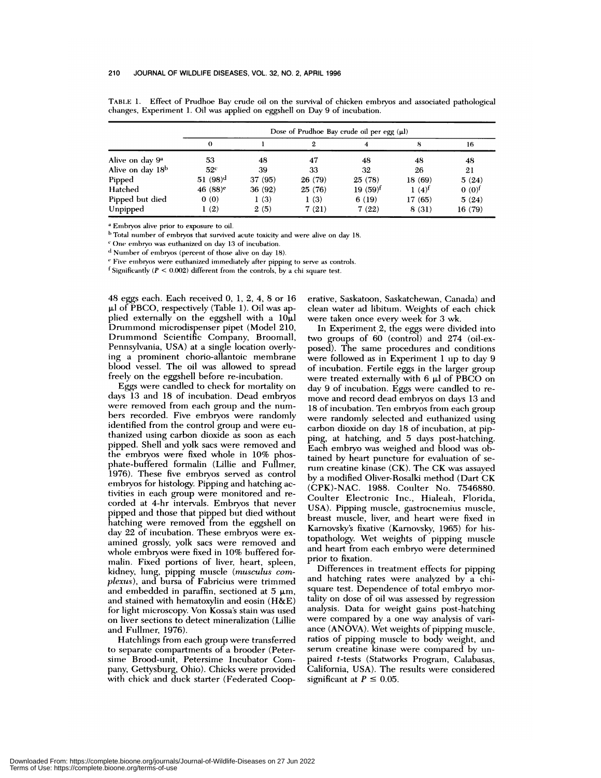|                              | Dose of Prudhoe Bay crude oil per egg $(\mu l)$ |         |         |            |                     |                     |  |  |
|------------------------------|-------------------------------------------------|---------|---------|------------|---------------------|---------------------|--|--|
|                              | $\theta$                                        |         | 2       |            | 8                   | 16                  |  |  |
| Alive on day 9 <sup>a</sup>  | 53                                              | 48      | 47      | 48         | 48                  | 48                  |  |  |
| Alive on day 18 <sup>b</sup> | 52 <sup>c</sup>                                 | 39      | 33      | 32         | 26                  | 21                  |  |  |
| Pipped                       | 51 $(98)^d$                                     | 37 (95) | 26 (79) | 25(78)     | 18(69)              | 5(24)               |  |  |
| Hatched                      | 46 $(88)^e$                                     | 36 (92) | 25(76)  | $19(59)^f$ | $1(4)$ <sup>t</sup> | $0(0)$ <sup>f</sup> |  |  |
| Pipped but died              | 0(0)                                            | 1(3)    | 1(3)    | 6(19)      | 17(65)              | 5(24)               |  |  |
| Unpipped                     | (2)                                             | 2(5)    | 7(21)   | 7(22)      | 8 (31)              | 16(79)              |  |  |

TABLE 1. Effect of Prudhoe Bay crude oil on the survival of chicken embryos and associated pathological changes, Experiment 1. Oil was applied on eggshell on Day 9 of incubation.

Embryos alive prior to exposure to oil.

<sup>b</sup> Total number of embryos that survived acute toxicity and were alive on day 18.

One embryo was euthanized on day 13 of incubation.

 $d$  Number of embryos (percent of those alive on day 18).

' Five embryos were euthanized immediately after pipping to serve as controls.

f Significantly  $(P < 0.002)$  different from the controls, by a chi square test.

48 eggs each. Each received 0, 1, 2, 4, 8 or 16  $\mu$ l of PBCO, respectively (Table 1). Oil was applied externally on the eggshell with a  $10\mu$ l Drummond microdispenser pipet (Model 210, Drummond Scientific Company, Broomall, Pennsylvania, USA) at a single location overlying a prominent chorio-allantoic membrane blood vessel. The oil was allowed to spread freely on the eggshell before re-incubation.

Eggs were candled to check for mortality on days 13 and 18 of incubation. Dead embryos were removed from each group and the num bers recorded. Five embryos were randomly identified from the control group and were enthanized using carbon dioxide as soon as each pipped. Shell and yolk sacs were removed and the embryos were fixed whole in 10% phosphate-buffered formalin (Lillie and Fullmer, 1976). These five embryos served as control embryos for histology. Pipping and hatching activities in each group were monitored and re corded at 4-hr intervals. Embryos that never pipped and those that pipped but died without hatching were removed from the eggshell on day 22 of incubation. These embryos were ex amined grossly, yolk sacs were removed and whole embryos were fixed in 10% buffered formalin. Fixed portions of liver, heart, spleen, kidney, lung, pipping muscle *(musculus corn plexus),* and bursa of Fabricius were trimmed and embedded in paraffin, sectioned at 5  $\mu$ m, and stained with hematoxylin and eosin  $(H\&E)$ for light microscopy. Von Kossa's stain was used on liver sections to detect mineralization (Lillie and Fullmer, 1976).

Hatchhings from each group were transferred to separate compartments of a brooder (Petersime Brood-unit, Petersime Incubator Company, Gettysburg, Ohio). Chicks were provided with chick and duck starter (Federated Cooperative, Saskatoon, Saskatchewan, Canada) and clean water ad libitum. Weights of each chick were taken once every week for 3 wk.

In Experiment 2, the eggs were divided into two groups of 60 (control) and 274 (oil-exposed). The same procedures and conditions were followed as in Experiment 1 up to day 9 of incubation. Fertile eggs in the larger group were treated externally with  $6 \mu l$  of PBCO on day 9 of incubation. Eggs were candled to re move and record dead embryos on days 13 and 18 of incubation. Ten embryos from each group were randomly selected and euthanized using carbon dioxide on day 18 of incubation, at pipping, at hatching, and 5 days post-hatching. Each embryo was weighed and blood was obtained by heart puncture for evaluation of serum creatine kinase (CK). The CK was assayed by a modified Oliver-Rosalki method (Dart CK (CPK)-NAC. 1988. Coulter No. 7546880. Coulter Electronic Inc., Hialeah, Florida, USA). Pipping muscle, gastrocnemius muscle, breast muscle, liver, and heart were fixed in Karnovsky's fixative (Karnovsky, 1965) for histopathology. Wet weights of pipping muscle and heart from each embryo were determined prior to fixation.

Differences in treatment effects for pipping and hatching rates were analyzed by a chisquare test. Dependence of total embryo mortality on dose of oil was assessed by regression analysis. Data for weight gains post-hatching were compared by a one way analysis of vari ance (ANOVA). Wet weights of pipping muscle, ratios of pipping muscle to body weight, and serum creatine kinase were compared by unpaired t-tests (Statworks Program, Calabasas, California, USA). The results were considered significant at  $P \leq 0.05$ .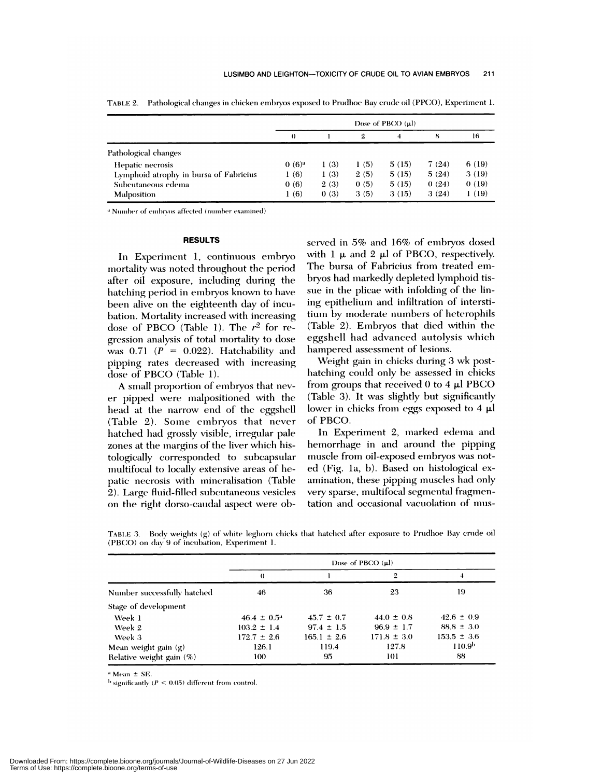|                                        |          |      |              | Dose of PBCO $(\mu l)$ |       |       |
|----------------------------------------|----------|------|--------------|------------------------|-------|-------|
|                                        | $\Omega$ |      | $\mathbf{2}$ | 4                      | 8     | 16    |
| Pathological changes                   |          |      |              |                        |       |       |
| Hepatic necrosis                       | $0(6)^a$ | 1(3) | 1(5)         | 5(15)                  | 7(24) | 6(19) |
| Lymphoid atrophy in bursa of Fabricius | 1 (6)    | 1(3) | 2(5)         | 5(15)                  | 5(24) | 3(19) |
| Subcutaneous edema                     | 0(6)     | 2(3) | 0(5)         | 5(15)                  | 0(24) | 0(19) |
| <b>Malposition</b>                     | 1(6)     | 0(3) | 3(5)         | 3(15)                  | 3(24) | 1(19) |

TABLE 2. Pathological changes in chicken embryos exposed to Pnidhoe Bay crude oil (PPCO), Experiment 1.

<sup>a</sup> Number of embrvos affected (number examined)

#### **RESULTS**

In Experiment 1, continuous embryo mortality was noted throughout the period after oil exposure, including during the hatching period in embryos known to have been alive on the eighteenth day of incubation. Mortality increased with increasing dose of PBCO (Table 1). The *r2* for re gression analysis of total mortality to dose was  $0.71$   $(P = 0.022)$ . Hatchability and pipping rates decreased with increasing dose of PBCO (Table 1).

A small proportion of embryos that nev er pipped were malpositioned with the head at the narrow end of the eggshell (Table 2). Some embryos that never hatched had grossly visible, irregular pale zones at the margins of the liver which histologically corresponded to subcapsular multifocal to locally extensive areas of hepatic necrosis with mineralisation (Table 2). Large fluid-filled subcutaneous vesicles on the right dorso-caudal aspect were observed in 5% and 16% of embryos dosed with 1  $\mu$  and 2  $\mu$ l of PBCO, respectively. The bursa of Fabricius from treated em bryos had markedly depleted lymphoid tis sue in the plicae with infolding of the lining epithelium and infiltration of interstitium by moderate numbers of heterophils (Table 2). Embryos that died within the eggshell had advanced autolysis which hampered assessment of lesions.

Weight gain in chicks during 3 wk posthatching could only be assessed in chicks from groups that received  $0$  to  $4 \mu$ l PBCO (Table 3). It was slightly but significantly lower in chicks from eggs exposed to  $4 \mu l$ of PBCO.

In Experiment 2, marked edema and hemorrhage in and around the pipping muscle from oil-exposed embryos was noted (Fig. la, b). Based on histological ex amination, these pipping muscles had only very sparse, multifocal segmental fragmentation and occasional vacuolation of mus-

|                             | Dose of PBCO (ul)      |                 |                 |                    |  |  |
|-----------------------------|------------------------|-----------------|-----------------|--------------------|--|--|
|                             | $\theta$               |                 | 2               | 4                  |  |  |
| Number successfully hatched | 46                     | 36              | 23              | 19                 |  |  |
| Stage of development        |                        |                 |                 |                    |  |  |
| Week 1                      | $46.4 \pm 0.5^{\circ}$ | $45.7 \pm 0.7$  | $44.0 \pm 0.8$  | $42.6 \pm 0.9$     |  |  |
| Week 2                      | $103.2 \pm 1.4$        | $97.4 \pm 1.5$  | $96.9 \pm 1.7$  | $88.8 \pm 3.0$     |  |  |
| Week 3                      | $172.7 \pm 2.6$        | $165.1 \pm 2.6$ | $171.8 \pm 3.0$ | $153.5 \pm 3.6$    |  |  |
| Mean weight gain $(g)$      | 126.1                  | 119.4           | 127.8           | 110.9 <sup>b</sup> |  |  |
| Relative weight gain $(\%)$ | 100                    | 95              | 101             | 88                 |  |  |

**TABI.E** 3. Body weights (g) of white leghorn chicks that hatched after exposure to Pruclhoe Bay crude oil (PBCO) on day 9 of incubation, Experiment 1.

 $a$  Mean  $\pm$  SE.

 $b$  significantly  $(P \le 0.05)$  different from control.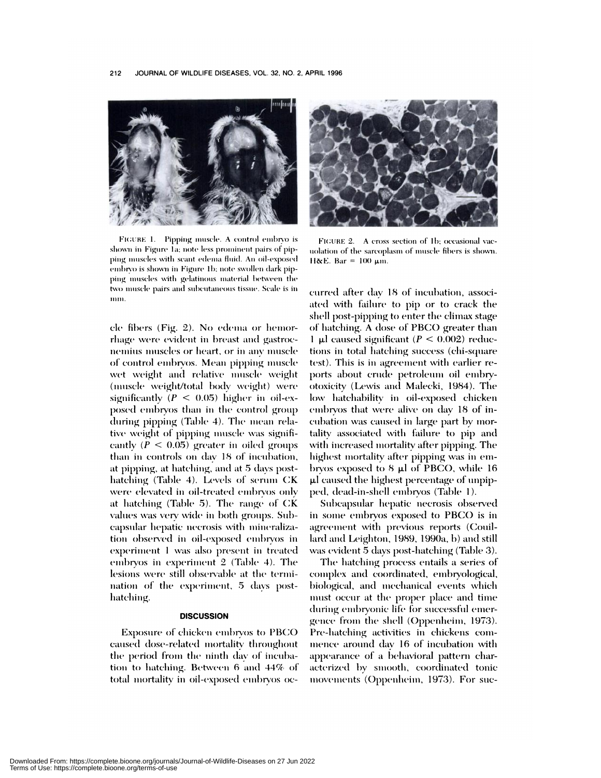

FIGURE 1. Pipping muscle. A control embryo is shown in Figure 1a: note less prominent pairs of pipping muscles with scant edema fluid. An oil-exposed embryo is shown in Figure 1b; note swollen dark pipping muscles with gelatinous material between the two muscle pairs and subcutaneous tissue. Scale is in nim.

cle fibers (Fig. 2). No edema or hemorrliage were evident in breast and gastroc nemius muscles or heart, or in any muscle of control embryos. Mean pipping muscle wet weight and relative muscle weight (muscle weight/total body weight) were significantly  $(P < 0.05)$  higher in oil-exposed embryos than in the control group during pipping (Table 4). The mean relative weight of pipping muscle was significantly  $(P < 0.05)$  greater in oiled groups than in controls on day 18 of incubation, at pipping, at hatching, and at 5 days posthatching (Table 4). Levels of serum CK were elevated in oil-treated embryos only at hatching (Table 5). The range of CK values was very wide in both groups. Subcapsular hepatic necrosis with mineralization observed in oil-exposed embryos in experiment 1 was also present in treated embryos in experiment  $2$  (Table 4). The lesions were still observable at the termination of the experiment, 5 days posthatching.

## **DISCUSSION**

Exposure of' chicken embryos to PBCO caused dose-related mortality throughout the period from the ninth day of incubatioui to hatching. Between 6 and **44%** of' total mortality in oil-exposed embryos oc-



FIGURE 2. A cross section of 1b; occasional vacuolation of the sarcoplasm of muscle fibers is shown.  $H\&E.$  Bar = 100  $\mu$ m.

curred after day 18 of incubation, associated with failure to pip or to crack the shell post-pipping to enter the climax stage of hatching. A dose of PBCO greater than 1  $\mu$ l caused significant ( $P < 0.002$ ) reductions in total hatching success (chi-square test). This is in agreement with earlier reports about crude petroleum oil embryotoxicity (Lewis and Malecki, 1984). The low hatchability in oil-exposed chicken embryos that were alive on day 18 of incubation was caused in large part by mortality associated with failure to pip and with increased mortality after pipping. The highest mortality after pipping was in embryos exposed to  $8 \mu$ l of PBCO, while 16 p.1 caused the highest percentage of unpipped, dead-in-shell embryos (Table 1).

Subcapsular hepatic necrosis observed in some embryos exposed to PBCO is in agreement with previous reports (Couillard and Leighton, 1989, 1990a, b) and still was evident 5 days post-hatching (Table 3).

The hatching process entails a series of complex and coordinated, embryological, biological, and mechanical events which must occur at the proper place and time during embryonic life for successful emergence from the shell (Oppenheim, 1973). Pre-hatching activities in chickens **com** mence around day 16 of incubation with appearance of a behavioral pattern characterized by smooth, coordinated tonic movements (Oppenheim, 1973). For suc-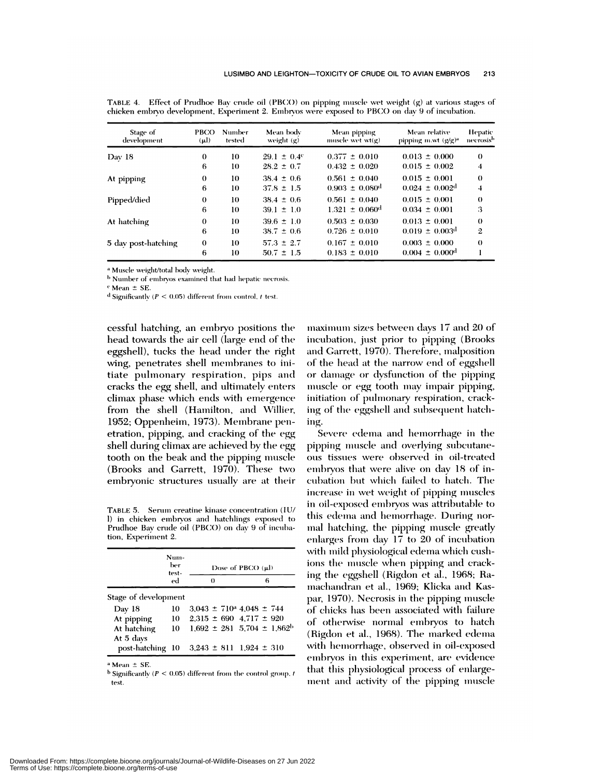| Stage of<br>development | <b>PBCO</b><br>$(\mu l)$ | Number<br>tested | Mean body<br>weight $(g)$ | Mean pipping<br>muscle wet $wt(g)$ | Mean relative<br>pipping $m.wt$ ( $g/g$ ) <sup>a</sup> | Hepatic<br>necrosis <sup>b</sup> |
|-------------------------|--------------------------|------------------|---------------------------|------------------------------------|--------------------------------------------------------|----------------------------------|
| Day 18                  | 0                        | 10               | $29.1 \pm 0.4^{\circ}$    | $0.377 \pm 0.010$                  | $0.013 \pm 0.000$                                      | $\theta$                         |
|                         | 6                        | 10               | $28.2 \pm 0.7$            | $0.432 \pm 0.020$                  | $0.015 \pm 0.002$                                      | 4                                |
| At pipping              | 0                        | 10               | $38.4 \pm 0.6$            | $0.561 \pm 0.040$                  | $0.015 \pm 0.001$                                      | $\theta$                         |
|                         | 6                        | 10               | $37.8 \pm 1.5$            | $0.903 \pm 0.080$ <sup>d</sup>     | $0.024 \pm 0.002$ <sup>d</sup>                         | 4                                |
| Pipped/died             | $\bf{0}$                 | 10               | $38.4 \pm 0.6$            | $0.561 \pm 0.040$                  | $0.015 \pm 0.001$                                      | $\theta$                         |
|                         | 6                        | 10               | $39.1 \pm 1.0$            | $1.321 + 0.060d$                   | $0.034 \pm 0.001$                                      | 3                                |
| At hatching             | $\bf{0}$                 | 10               | $39.6 \pm 1.0$            | $0.503 \pm 0.030$                  | $0.013 \pm 0.001$                                      | $\theta$                         |
|                         | 6                        | 10               | $38.7 \pm 0.6$            | $0.726 \pm 0.010$                  | $0.019 \pm 0.003$ <sup>d</sup>                         | $\mathbf{2}$                     |
| 5 day post-hatching     | 0                        | 10               | $57.3 \pm 2.7$            | $0.167 \pm 0.010$                  | $0.003 \pm 0.000$                                      | $\theta$                         |
|                         | 6                        | 10               | $50.7 \pm 1.5$            | $0.183 \pm 0.010$                  | $0.004 \pm 0.000$ <sup>d</sup>                         |                                  |
|                         |                          |                  |                           |                                    |                                                        |                                  |

TABLE 4. Effect of Prudhoe Bay crude oil (PBCO) on pipping muscle wet weight (g) at various stages of chicken embryo development, Experiment 2. Embryos were exposed to PBCO onday 9 of incubation.

Muscle weight/total body weight.

<sup>b</sup> Number of embryos examined that had hepatic necrosis.

Mean *±* SE.

 $d$  Significantly  $(P < 0.05)$  different from control, t test.

cessful hatching, an embryo positions the head towards the air cell (large end of the eggshell), tucks the head under the right wing, penetrates shell membranes to initiate pulmonary respiration, pips and cracks the egg shell, and ultimately enters climax phase which ends with emergence from the shell (Hamilton, and Willier, 1952; Oppenheim, 1973). Membrane penetration, pipping, and cracking of the *egg* shell during climax are achieved by the egg tooth on the beak and the pipping muscle (Brooks and Garrett, 1970). These two embryonic structures usually are at their

TABLE 5. Serum creatine kinase concentration (IU/ I) in chicken embryos and hatchlings exposed to Prudhoe Bay crude oil (PBCO) on day 9 of incubation, Experiment 2.

|                          | Num-<br>ber<br>test- | Dose of PBCO (µl)                       |          |  |                                                |  |  |
|--------------------------|----------------------|-----------------------------------------|----------|--|------------------------------------------------|--|--|
|                          | ed                   |                                         | $\theta$ |  | 6                                              |  |  |
| Stage of development     |                      |                                         |          |  |                                                |  |  |
| Day 18                   | 10                   | $3.043 \pm 710^{\circ}$ 4.048 $\pm 744$ |          |  |                                                |  |  |
| At pipping               | 10                   | $2.315 \pm 690$ 4.717 $\pm$ 920         |          |  |                                                |  |  |
| At hatching<br>At 5 days | - 10                 |                                         |          |  | $1,692 \pm 281$ 5,704 $\pm$ 1,862 <sup>b</sup> |  |  |
| post-hatching 10         |                      |                                         |          |  | $3,243 \pm 811$ $1,924 \pm 310$                |  |  |

 $^a$  Mean  $\pm$  SE.

test.  $<sup>b</sup>$  Significantly ( $P < 0.05$ ) different from the control group, t</sup> maximum sizes between days 17 and 20 of incubation, just prior to pipping (Brooks and Garrett, 1970). Therefore, malposition of the head at the narrow end of eggshell or damage or dysfunction of the pipping muscle or egg tooth may impair pipping, initiation of pulmonary respiration, cracking of the eggshell and subsequent hatching.

Severe edema and hemorrhage in the pipping muscle and overlying subcutaneous tissues were observed in oil-treated embryos that were alive on day 18 of incubation but which failed to hatch. The increase in vet weight of **pipping** muscles in oil-exposed embryos was attributable to this edema and hemorrhage. During nor mal hatching, the pipping muscle greatly enlarges from day 17 to 20 of incubation with mild physiological edema which cushions the muscle when pipping and cracking the eggshell (Rigdon et al., 1968; Ramachandran et al., 1969; Klicka and Kas-1970). Necrosis in the pipping muscle of chicks has been associated with failure of otherwise normal embryos to hatch (Rigdon et al., 1968). The marked edema vith hemorrhage, observed in oil-exposed embryos in this experiment, are evidence that this physiological process of enlargement and activity of the pipping muscle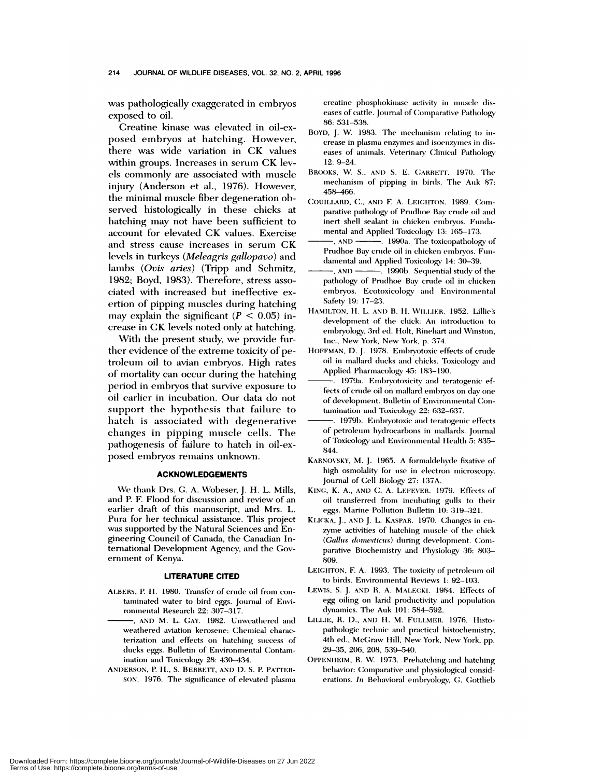was pathologically exaggerated in embryos exposed to oil.

Creatine kinase was elevated in oil-exposed embryos at hatching. However, there was wide variation in CK values within groups. Increases in serum CK levels commonly are associated with muscle injury (Anderson et al., 1976). However, the minimal muscle fiber degeneration observed histologically in these chicks at hatching may not have been sufficient to account for elevated CK values. Exercise and stress cause increases in serum CK levels in turkeys *(Meleagris gallopauo)* and lambs *(Ovis aries)* (Tripp and Schmitz, 1982; Boyd, 1983). Therefore, stress asso ciated! with increased but ineffective cx ertion of pipping muscles during hatching may explain the significant  $(P < 0.05)$  increase in CK levels noted only at hatching.

With the present study, we provide further evidence of the extreme toxicity of petroleum oil to avian embryos. High rates of mortality can occur during the hatching period in embryos that survive exposure to oil earlier in incubation. Our data do not support the hypothesis that failure to hatch is associated with degenerative changes in pipping muscle cells. The pathogenesis of failure to hatch in oil-exposed embryos remains unknown.

#### **ACKNOWLEDGEMENTS**

We thank Drs. G. A. Wobeser, J. H. L. Mills, and P. F. Flood for discussion and review of an earlier draft of this manuscript, and Mrs. L. Pura for her technical assistance. This project was supported by the Natural Sciences and Engineering Council of Canada, the Canadian International Development Agency, and the Gov eminent of Kenya.

#### **LITERATURE CITED**

- ALBERS, P. H. 1980. Transfer of crude oil from contamninated water to bird eggs. Journal of Envi ronmental Research 22: 307-317.
- , AND M. L. GAY. 1982. Unweathered and weathered aviation kerosene: Chemical characterization and effects on hatching success of ducks eggs. Bulletin of Environmental Contamination and Toxicology 28: 430-434.
- ANDERSON, P. H., S. BERRETT, AND D. S. P. PATTER-SON. 1976. The significance of elevated plasma

creatine phosphokinase activity in muscle dis eases of cattle. Journal of Comparative Pathology 86: 531-538.

- BOYD, J. W. 1983. The mechanism relating to increase in plasma enzymes and isoenzymes in diseases of animals. Veterinary Clinical Pathology 12: 9-24.
- BROOKS, W. S., AND S. E. GARRETT. 1970. The mechanism of pipping in birds. The Auk  $87:$ 458-466.
- **C0UILLARD, C.,** AN!) F A. LEIGhToN. 1989. Com parative pathology of Prudhoe Bay crude oil and inert shell sealant in chicken embryos. Fundamental and Applied Toxicology 13: 165-173.
- -, AND ———. 1990a. The toxicopathology of Prudhoe Bay crude oil in chicken embryos. Fun damental and Applied Toxicology 14: 30-39.
- , AND **.........** 1990b. Sequential study of the pathology of Prudhoe Bay crude oil in chicken embryos. Ecotoxicology and Environ mental Safety 19: 17-23.
- HAMILTON, H. L. AND B. H. WILLIER. 1952. Lillie's development of the chick: An introduction to embryology, 3rd ed. Holt, Rinehart and Winston, Inc., New York, New York, p. 374.
- **HOFFMAN,** D. J. 1978. Embrvotoxic effects of crude oil in mallard ducks and chicks. Toxicology and Applied Pharmacology 45: 183-190.
- 1979a. Embryotoxicity and teratogenic effects of crude oil on mallard embryos on day one of development. Bulletin of Environmental Contamination and Toxicology 22: 632-637.
- 1979b. Embryotoxic and teratogenic effects of petrolesim hydrocarbons in mallards. Journal of Toxicology and Environmental Health 5: 835-844.
- KARNOVSKY, M. J. 1965. A formaldehyde fixative of high osmolality for use in electron microscopy. Journal of Cell Biology 27: 137A.
- KING, K. A., AND C. A. LEFEyER. 1979. Effects of oil transferred from incubating gulls to their **eggs. Marine Pollution Bulletin 10: 319-321.**
- KLIcKA, J.,AND J. L. **KASPAR.** 1970. Changes in en zyme activities of hatching muscle of the chick (Gallus domesticus) during development. Comparative Biochemistry and Physiology 36: 803- 809.
- **LEIGhTON,** F. A. 1993. The toxicity of petroleum oil to birds. Environmental Reviews 1: 92-103.
- LEWIS, S. J. AND R. A. MALECKI. 1984. Effects of egg oiling on larid productivity and population dynamics. The Auk 101: 584-592.
- **LII.LIE, R. D.,** AND 11.M. FULLMER. 1976. Ilisto pathologic technic and practical histochemistry, 4th ed., McGraw Hill, New York, New York, pp. 29-35, 206, 208, 539-540.
- **OPPENIIEIM,** R. W. 1973. Prehatching and hatching behavior: Comparative and physiological considerations. *In* Behavioral embryology, C. Cotthieb